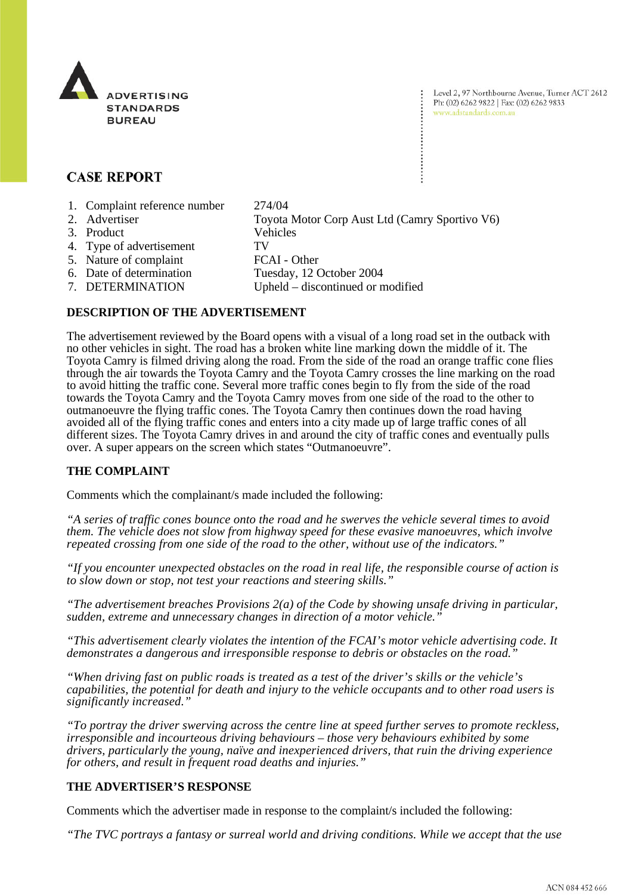

Level 2, 97 Northbourne Avenue, Turner ACT 2612 Ph: (02) 6262 9822 | Fax: (02) 6262 9833 www.adstandards.com.au

# **CASE REPORT**

- 1. Complaint reference number 274/04
- 2. Advertiser Toyota Motor Corp Aust Ltd (Camry Sportivo V6) 3. Product Vehicles 4. Type of advertisement TV 5. Nature of complaint FCAI - Other<br>6. Date of determination Tuesday, 12 0 Tuesday, 12 October 2004 7. DETERMINATION Upheld – discontinued or modified

## **DESCRIPTION OF THE ADVERTISEMENT**

The advertisement reviewed by the Board opens with a visual of a long road set in the outback with no other vehicles in sight. The road has a broken white line marking down the middle of it. The Toyota Camry is filmed driving along the road. From the side of the road an orange traffic cone flies through the air towards the Toyota Camry and the Toyota Camry crosses the line marking on the road to avoid hitting the traffic cone. Several more traffic cones begin to fly from the side of the road towards the Toyota Camry and the Toyota Camry moves from one side of the road to the other to outmanoeuvre the flying traffic cones. The Toyota Camry then continues down the road having avoided all of the flying traffic cones and enters into a city made up of large traffic cones of all different sizes. The Toyota Camry drives in and around the city of traffic cones and eventually pulls over. A super appears on the screen which states "Outmanoeuvre".

### **THE COMPLAINT**

Comments which the complainant/s made included the following:

*"A series of traffic cones bounce onto the road and he swerves the vehicle several times to avoid them. The vehicle does not slow from highway speed for these evasive manoeuvres, which involve repeated crossing from one side of the road to the other, without use of the indicators."*

*"If you encounter unexpected obstacles on the road in real life, the responsible course of action is to slow down or stop, not test your reactions and steering skills."*

*"The advertisement breaches Provisions 2(a) of the Code by showing unsafe driving in particular, sudden, extreme and unnecessary changes in direction of a motor vehicle."*

*"This advertisement clearly violates the intention of the FCAI's motor vehicle advertising code. It demonstrates a dangerous and irresponsible response to debris or obstacles on the road."*

*"When driving fast on public roads is treated as a test of the driver's skills or the vehicle's capabilities, the potential for death and injury to the vehicle occupants and to other road users is significantly increased."*

*"To portray the driver swerving across the centre line at speed further serves to promote reckless, irresponsible and incourteous driving behaviours – those very behaviours exhibited by some drivers, particularly the young, naïve and inexperienced drivers, that ruin the driving experience for others, and result in frequent road deaths and injuries."*

## **THE ADVERTISER'S RESPONSE**

Comments which the advertiser made in response to the complaint/s included the following:

*"The TVC portrays a fantasy or surreal world and driving conditions. While we accept that the use*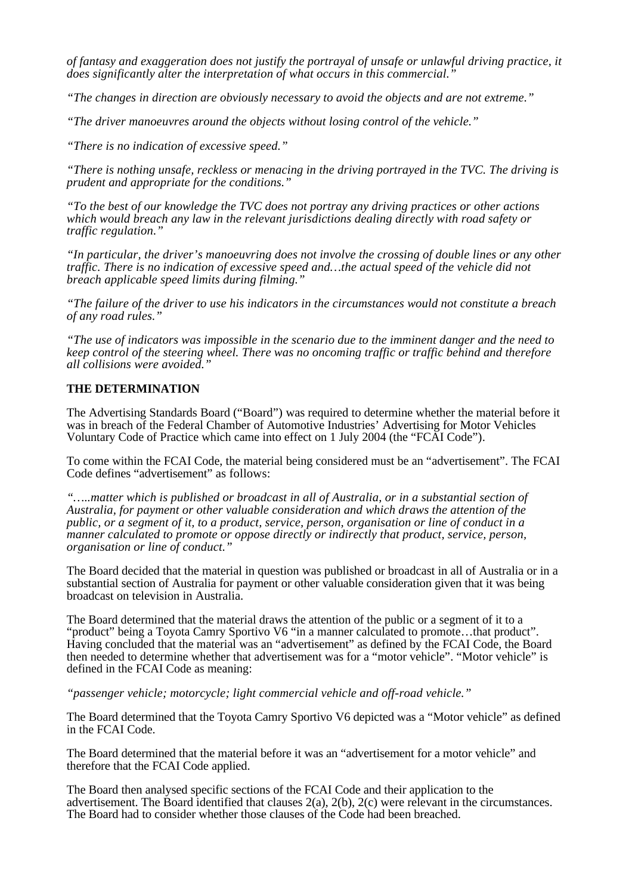*of fantasy and exaggeration does not justify the portrayal of unsafe or unlawful driving practice, it does significantly alter the interpretation of what occurs in this commercial."*

*"The changes in direction are obviously necessary to avoid the objects and are not extreme."*

*"The driver manoeuvres around the objects without losing control of the vehicle."*

*"There is no indication of excessive speed."*

*"There is nothing unsafe, reckless or menacing in the driving portrayed in the TVC. The driving is prudent and appropriate for the conditions."*

*"To the best of our knowledge the TVC does not portray any driving practices or other actions which would breach any law in the relevant jurisdictions dealing directly with road safety or traffic regulation."*

*"In particular, the driver's manoeuvring does not involve the crossing of double lines or any other traffic. There is no indication of excessive speed and…the actual speed of the vehicle did not breach applicable speed limits during filming."*

*"The failure of the driver to use his indicators in the circumstances would not constitute a breach of any road rules."*

*"The use of indicators was impossible in the scenario due to the imminent danger and the need to keep control of the steering wheel. There was no oncoming traffic or traffic behind and therefore all collisions were avoided."*

### **THE DETERMINATION**

The Advertising Standards Board ("Board") was required to determine whether the material before it was in breach of the Federal Chamber of Automotive Industries' Advertising for Motor Vehicles Voluntary Code of Practice which came into effect on 1 July 2004 (the "FCAI Code").

To come within the FCAI Code, the material being considered must be an "advertisement". The FCAI Code defines "advertisement" as follows:

*"…..matter which is published or broadcast in all of Australia, or in a substantial section of Australia, for payment or other valuable consideration and which draws the attention of the public, or a segment of it, to a product, service, person, organisation or line of conduct in a manner calculated to promote or oppose directly or indirectly that product, service, person, organisation or line of conduct."*

The Board decided that the material in question was published or broadcast in all of Australia or in a substantial section of Australia for payment or other valuable consideration given that it was being broadcast on television in Australia.

The Board determined that the material draws the attention of the public or a segment of it to a "product" being a Toyota Camry Sportivo V6 "in a manner calculated to promote…that product". Having concluded that the material was an "advertisement" as defined by the FCAI Code, the Board then needed to determine whether that advertisement was for a "motor vehicle". "Motor vehicle" is defined in the FCAI Code as meaning:

*"passenger vehicle; motorcycle; light commercial vehicle and off-road vehicle."*

The Board determined that the Toyota Camry Sportivo V6 depicted was a "Motor vehicle" as defined in the FCAI Code.

The Board determined that the material before it was an "advertisement for a motor vehicle" and therefore that the FCAI Code applied.

The Board then analysed specific sections of the FCAI Code and their application to the advertisement. The Board identified that clauses 2(a), 2(b), 2(c) were relevant in the circumstances. The Board had to consider whether those clauses of the Code had been breached.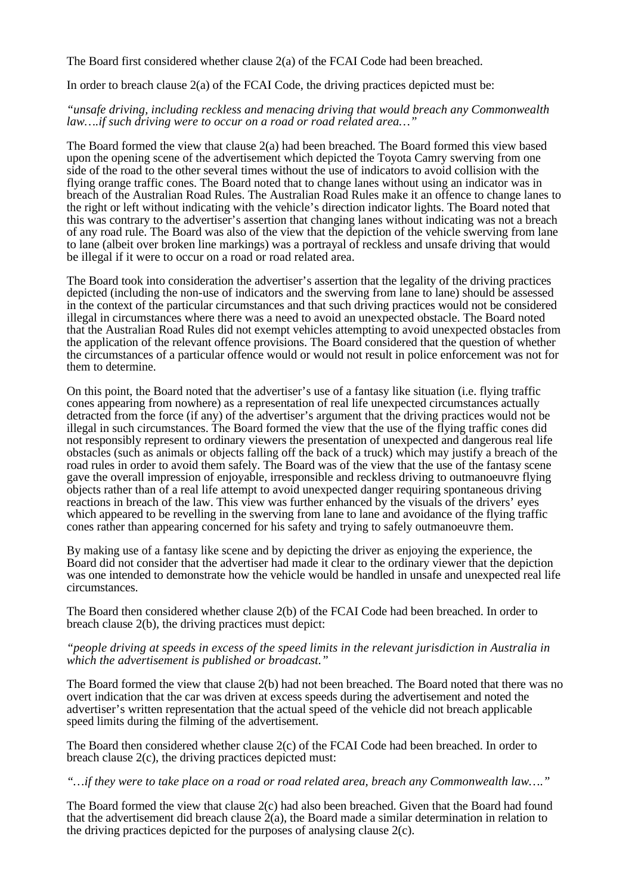The Board first considered whether clause 2(a) of the FCAI Code had been breached.

In order to breach clause 2(a) of the FCAI Code, the driving practices depicted must be:

*"unsafe driving, including reckless and menacing driving that would breach any Commonwealth law….if such driving were to occur on a road or road related area…"*

The Board formed the view that clause  $2(a)$  had been breached. The Board formed this view based upon the opening scene of the advertisement which depicted the Toyota Camry swerving from one side of the road to the other several times without the use of indicators to avoid collision with the flying orange traffic cones. The Board noted that to change lanes without using an indicator was in breach of the Australian Road Rules. The Australian Road Rules make it an offence to change lanes to the right or left without indicating with the vehicle's direction indicator lights. The Board noted that this was contrary to the advertiser's assertion that changing lanes without indicating was not a breach of any road rule. The Board was also of the view that the depiction of the vehicle swerving from lane to lane (albeit over broken line markings) was a portrayal of reckless and unsafe driving that would be illegal if it were to occur on a road or road related area.

The Board took into consideration the advertiser's assertion that the legality of the driving practices depicted (including the non-use of indicators and the swerving from lane to lane) should be assessed in the context of the particular circumstances and that such driving practices would not be considered illegal in circumstances where there was a need to avoid an unexpected obstacle. The Board noted that the Australian Road Rules did not exempt vehicles attempting to avoid unexpected obstacles from the application of the relevant offence provisions. The Board considered that the question of whether the circumstances of a particular offence would or would not result in police enforcement was not for them to determine.

On this point, the Board noted that the advertiser's use of a fantasy like situation (i.e. flying traffic cones appearing from nowhere) as a representation of real life unexpected circumstances actually detracted from the force (if any) of the advertiser's argument that the driving practices would not be illegal in such circumstances. The Board formed the view that the use of the flying traffic cones did not responsibly represent to ordinary viewers the presentation of unexpected and dangerous real life obstacles (such as animals or objects falling off the back of a truck) which may justify a breach of the road rules in order to avoid them safely. The Board was of the view that the use of the fantasy scene gave the overall impression of enjoyable, irresponsible and reckless driving to outmanoeuvre flying objects rather than of a real life attempt to avoid unexpected danger requiring spontaneous driving reactions in breach of the law. This view was further enhanced by the visuals of the drivers' eyes which appeared to be revelling in the swerving from lane to lane and avoidance of the flying traffic cones rather than appearing concerned for his safety and trying to safely outmanoeuvre them.

By making use of a fantasy like scene and by depicting the driver as enjoying the experience, the Board did not consider that the advertiser had made it clear to the ordinary viewer that the depiction was one intended to demonstrate how the vehicle would be handled in unsafe and unexpected real life circumstances.

The Board then considered whether clause 2(b) of the FCAI Code had been breached. In order to breach clause 2(b), the driving practices must depict:

#### *"people driving at speeds in excess of the speed limits in the relevant jurisdiction in Australia in which the advertisement is published or broadcast."*

The Board formed the view that clause 2(b) had not been breached. The Board noted that there was no overt indication that the car was driven at excess speeds during the advertisement and noted the advertiser's written representation that the actual speed of the vehicle did not breach applicable speed limits during the filming of the advertisement.

The Board then considered whether clause 2(c) of the FCAI Code had been breached. In order to breach clause 2(c), the driving practices depicted must:

#### *"…if they were to take place on a road or road related area, breach any Commonwealth law…."*

The Board formed the view that clause 2(c) had also been breached. Given that the Board had found that the advertisement did breach clause  $2(a)$ , the Board made a similar determination in relation to the driving practices depicted for the purposes of analysing clause 2(c).